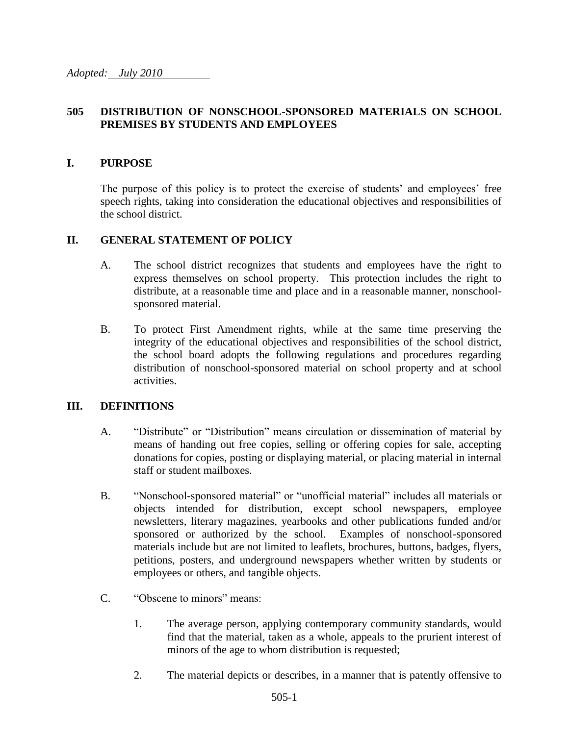#### **505 DISTRIBUTION OF NONSCHOOL-SPONSORED MATERIALS ON SCHOOL PREMISES BY STUDENTS AND EMPLOYEES**

#### **I. PURPOSE**

The purpose of this policy is to protect the exercise of students' and employees' free speech rights, taking into consideration the educational objectives and responsibilities of the school district.

#### **II. GENERAL STATEMENT OF POLICY**

- A. The school district recognizes that students and employees have the right to express themselves on school property. This protection includes the right to distribute, at a reasonable time and place and in a reasonable manner, nonschoolsponsored material.
- B. To protect First Amendment rights, while at the same time preserving the integrity of the educational objectives and responsibilities of the school district, the school board adopts the following regulations and procedures regarding distribution of nonschool-sponsored material on school property and at school activities.

#### **III. DEFINITIONS**

- A. "Distribute" or "Distribution" means circulation or dissemination of material by means of handing out free copies, selling or offering copies for sale, accepting donations for copies, posting or displaying material, or placing material in internal staff or student mailboxes.
- B. "Nonschool-sponsored material" or "unofficial material" includes all materials or objects intended for distribution, except school newspapers, employee newsletters, literary magazines, yearbooks and other publications funded and/or sponsored or authorized by the school. Examples of nonschool-sponsored materials include but are not limited to leaflets, brochures, buttons, badges, flyers, petitions, posters, and underground newspapers whether written by students or employees or others, and tangible objects.
- C. "Obscene to minors" means:
	- 1. The average person, applying contemporary community standards, would find that the material, taken as a whole, appeals to the prurient interest of minors of the age to whom distribution is requested;
	- 2. The material depicts or describes, in a manner that is patently offensive to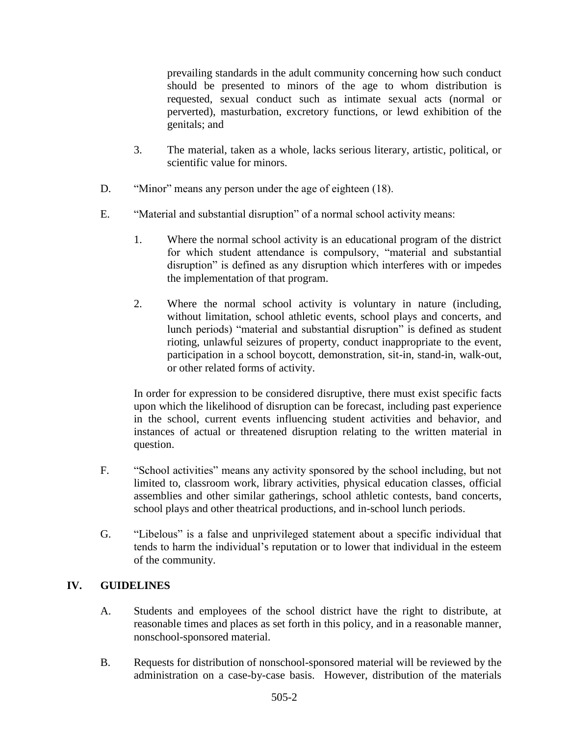prevailing standards in the adult community concerning how such conduct should be presented to minors of the age to whom distribution is requested, sexual conduct such as intimate sexual acts (normal or perverted), masturbation, excretory functions, or lewd exhibition of the genitals; and

- 3. The material, taken as a whole, lacks serious literary, artistic, political, or scientific value for minors.
- D. "Minor" means any person under the age of eighteen (18).
- E. "Material and substantial disruption" of a normal school activity means:
	- 1. Where the normal school activity is an educational program of the district for which student attendance is compulsory, "material and substantial disruption" is defined as any disruption which interferes with or impedes the implementation of that program.
	- 2. Where the normal school activity is voluntary in nature (including, without limitation, school athletic events, school plays and concerts, and lunch periods) "material and substantial disruption" is defined as student rioting, unlawful seizures of property, conduct inappropriate to the event, participation in a school boycott, demonstration, sit-in, stand-in, walk-out, or other related forms of activity.

In order for expression to be considered disruptive, there must exist specific facts upon which the likelihood of disruption can be forecast, including past experience in the school, current events influencing student activities and behavior, and instances of actual or threatened disruption relating to the written material in question.

- F. "School activities" means any activity sponsored by the school including, but not limited to, classroom work, library activities, physical education classes, official assemblies and other similar gatherings, school athletic contests, band concerts, school plays and other theatrical productions, and in-school lunch periods.
- G. "Libelous" is a false and unprivileged statement about a specific individual that tends to harm the individual's reputation or to lower that individual in the esteem of the community.

## **IV. GUIDELINES**

- A. Students and employees of the school district have the right to distribute, at reasonable times and places as set forth in this policy, and in a reasonable manner, nonschool-sponsored material.
- B. Requests for distribution of nonschool-sponsored material will be reviewed by the administration on a case-by-case basis. However, distribution of the materials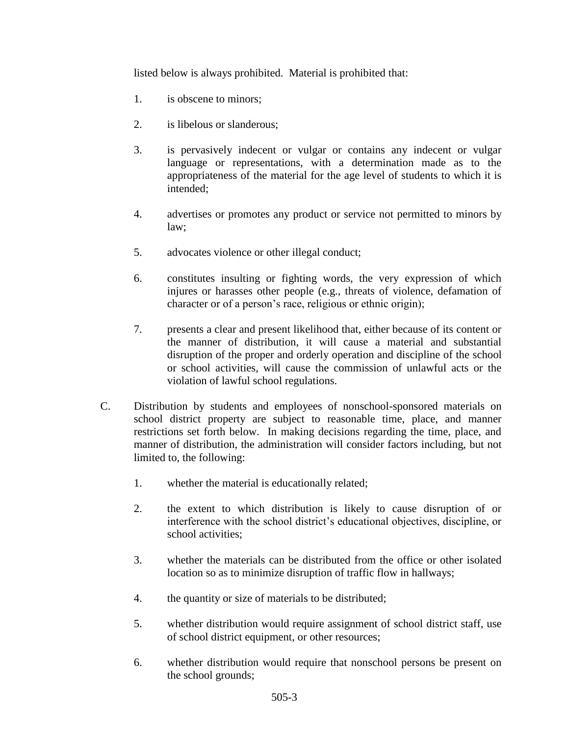listed below is always prohibited. Material is prohibited that:

- 1. is obscene to minors;
- 2. is libelous or slanderous;
- 3. is pervasively indecent or vulgar or contains any indecent or vulgar language or representations, with a determination made as to the appropriateness of the material for the age level of students to which it is intended;
- 4. advertises or promotes any product or service not permitted to minors by law;
- 5. advocates violence or other illegal conduct;
- 6. constitutes insulting or fighting words, the very expression of which injures or harasses other people (e.g., threats of violence, defamation of character or of a person's race, religious or ethnic origin);
- 7. presents a clear and present likelihood that, either because of its content or the manner of distribution, it will cause a material and substantial disruption of the proper and orderly operation and discipline of the school or school activities, will cause the commission of unlawful acts or the violation of lawful school regulations.
- C. Distribution by students and employees of nonschool-sponsored materials on school district property are subject to reasonable time, place, and manner restrictions set forth below. In making decisions regarding the time, place, and manner of distribution, the administration will consider factors including, but not limited to, the following:
	- 1. whether the material is educationally related;
	- 2. the extent to which distribution is likely to cause disruption of or interference with the school district's educational objectives, discipline, or school activities;
	- 3. whether the materials can be distributed from the office or other isolated location so as to minimize disruption of traffic flow in hallways;
	- 4. the quantity or size of materials to be distributed;
	- 5. whether distribution would require assignment of school district staff, use of school district equipment, or other resources;
	- 6. whether distribution would require that nonschool persons be present on the school grounds;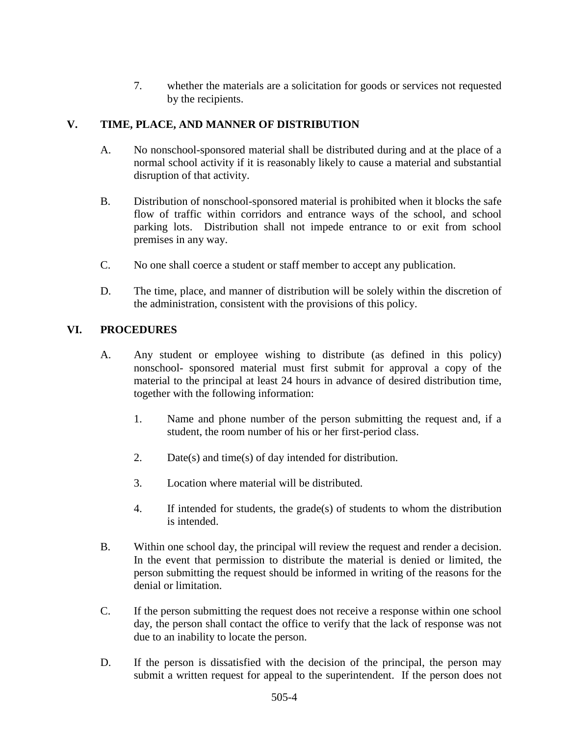7. whether the materials are a solicitation for goods or services not requested by the recipients.

## **V. TIME, PLACE, AND MANNER OF DISTRIBUTION**

- A. No nonschool-sponsored material shall be distributed during and at the place of a normal school activity if it is reasonably likely to cause a material and substantial disruption of that activity.
- B. Distribution of nonschool-sponsored material is prohibited when it blocks the safe flow of traffic within corridors and entrance ways of the school, and school parking lots. Distribution shall not impede entrance to or exit from school premises in any way.
- C. No one shall coerce a student or staff member to accept any publication.
- D. The time, place, and manner of distribution will be solely within the discretion of the administration, consistent with the provisions of this policy.

## **VI. PROCEDURES**

- A. Any student or employee wishing to distribute (as defined in this policy) nonschool- sponsored material must first submit for approval a copy of the material to the principal at least 24 hours in advance of desired distribution time, together with the following information:
	- 1. Name and phone number of the person submitting the request and, if a student, the room number of his or her first-period class.
	- 2. Date(s) and time(s) of day intended for distribution.
	- 3. Location where material will be distributed.
	- 4. If intended for students, the grade(s) of students to whom the distribution is intended.
- B. Within one school day, the principal will review the request and render a decision. In the event that permission to distribute the material is denied or limited, the person submitting the request should be informed in writing of the reasons for the denial or limitation.
- C. If the person submitting the request does not receive a response within one school day, the person shall contact the office to verify that the lack of response was not due to an inability to locate the person.
- D. If the person is dissatisfied with the decision of the principal, the person may submit a written request for appeal to the superintendent. If the person does not